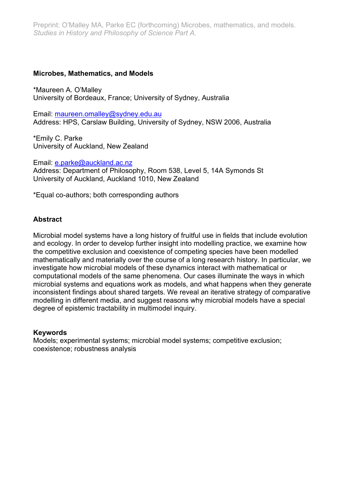### **Microbes, Mathematics, and Models**

\*Maureen A. O'Malley University of Bordeaux, France; University of Sydney, Australia

Email: maureen.omalley@sydney.edu.au Address: HPS, Carslaw Building, University of Sydney, NSW 2006, Australia

\*Emily C. Parke University of Auckland, New Zealand

Email: e.parke@auckland.ac.nz Address: Department of Philosophy, Room 538, Level 5, 14A Symonds St University of Auckland, Auckland 1010, New Zealand

\*Equal co-authors; both corresponding authors

### **Abstract**

Microbial model systems have a long history of fruitful use in fields that include evolution and ecology. In order to develop further insight into modelling practice, we examine how the competitive exclusion and coexistence of competing species have been modelled mathematically and materially over the course of a long research history. In particular, we investigate how microbial models of these dynamics interact with mathematical or computational models of the same phenomena. Our cases illuminate the ways in which microbial systems and equations work as models, and what happens when they generate inconsistent findings about shared targets. We reveal an iterative strategy of comparative modelling in different media, and suggest reasons why microbial models have a special degree of epistemic tractability in multimodel inquiry.

#### **Keywords**

Models; experimental systems; microbial model systems; competitive exclusion; coexistence; robustness analysis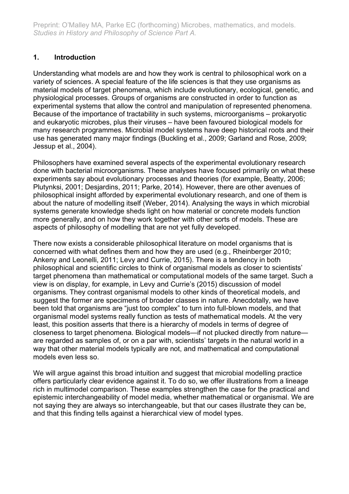# **1. Introduction**

Understanding what models are and how they work is central to philosophical work on a variety of sciences. A special feature of the life sciences is that they use organisms as material models of target phenomena, which include evolutionary, ecological, genetic, and physiological processes. Groups of organisms are constructed in order to function as experimental systems that allow the control and manipulation of represented phenomena. Because of the importance of tractability in such systems, microorganisms – prokaryotic and eukaryotic microbes, plus their viruses – have been favoured biological models for many research programmes. Microbial model systems have deep historical roots and their use has generated many major findings (Buckling et al., 2009; Garland and Rose, 2009; Jessup et al., 2004).

Philosophers have examined several aspects of the experimental evolutionary research done with bacterial microorganisms. These analyses have focused primarily on what these experiments say about evolutionary processes and theories (for example, Beatty, 2006; Plutynksi, 2001; Desjardins, 2011; Parke, 2014). However, there are other avenues of philosophical insight afforded by experimental evolutionary research, and one of them is about the nature of modelling itself (Weber, 2014). Analysing the ways in which microbial systems generate knowledge sheds light on how material or concrete models function more generally, and on how they work together with other sorts of models. These are aspects of philosophy of modelling that are not yet fully developed.

There now exists a considerable philosophical literature on model organisms that is concerned with what defines them and how they are used (e.g., Rheinberger 2010; Ankeny and Leonelli, 2011; Levy and Currie, 2015). There is a tendency in both philosophical and scientific circles to think of organismal models as closer to scientists' target phenomena than mathematical or computational models of the same target. Such a view is on display, for example, in Levy and Currie's (2015) discussion of model organisms. They contrast organismal models to other kinds of theoretical models, and suggest the former are specimens of broader classes in nature. Anecdotally, we have been told that organisms are "just too complex" to turn into full-blown models, and that organismal model systems really function as tests of mathematical models. At the very least, this position asserts that there is a hierarchy of models in terms of degree of closeness to target phenomena. Biological models—if not plucked directly from nature are regarded as samples of, or on a par with, scientists' targets in the natural world in a way that other material models typically are not, and mathematical and computational models even less so.

We will argue against this broad intuition and suggest that microbial modelling practice offers particularly clear evidence against it. To do so, we offer illustrations from a lineage rich in multimodel comparison. These examples strengthen the case for the practical and epistemic interchangeability of model media, whether mathematical or organismal. We are not saying they are always so interchangeable, but that our cases illustrate they can be, and that this finding tells against a hierarchical view of model types.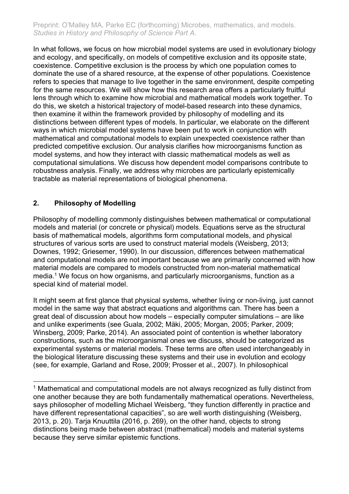In what follows, we focus on how microbial model systems are used in evolutionary biology and ecology, and specifically, on models of competitive exclusion and its opposite state, coexistence. Competitive exclusion is the process by which one population comes to dominate the use of a shared resource, at the expense of other populations. Coexistence refers to species that manage to live together in the same environment, despite competing for the same resources. We will show how this research area offers a particularly fruitful lens through which to examine how microbial and mathematical models work together. To do this, we sketch a historical trajectory of model-based research into these dynamics, then examine it within the framework provided by philosophy of modelling and its distinctions between different types of models. In particular, we elaborate on the different ways in which microbial model systems have been put to work in conjunction with mathematical and computational models to explain unexpected coexistence rather than predicted competitive exclusion. Our analysis clarifies how microorganisms function as model systems, and how they interact with classic mathematical models as well as computational simulations. We discuss how dependent model comparisons contribute to robustness analysis. Finally, we address why microbes are particularly epistemically tractable as material representations of biological phenomena.

# **2. Philosophy of Modelling**

Philosophy of modelling commonly distinguishes between mathematical or computational models and material (or concrete or physical) models. Equations serve as the structural basis of mathematical models, algorithms form computational models, and physical structures of various sorts are used to construct material models (Weisberg, 2013; Downes, 1992; Griesemer, 1990). In our discussion, differences between mathematical and computational models are not important because we are primarily concerned with how material models are compared to models constructed from non-material mathematical media.1 We focus on how organisms, and particularly microorganisms, function as a special kind of material model.

It might seem at first glance that physical systems, whether living or non-living, just cannot model in the same way that abstract equations and algorithms can. There has been a great deal of discussion about how models – especially computer simulations – are like and unlike experiments (see Guala, 2002; Mäki, 2005; Morgan, 2005; Parker, 2009; Winsberg, 2009; Parke, 2014). An associated point of contention is whether laboratory constructions, such as the microorganismal ones we discuss, should be categorized as experimental systems or material models. These terms are often used interchangeably in the biological literature discussing these systems and their use in evolution and ecology (see, for example, Garland and Rose, 2009; Prosser et al., 2007). In philosophical

<sup>&</sup>lt;sup>1</sup> Mathematical and computational models are not always recognized as fully distinct from one another because they are both fundamentally mathematical operations. Nevertheless, says philosopher of modelling Michael Weisberg, "they function differently in practice and have different representational capacities", so are well worth distinguishing (Weisberg, 2013, p. 20). Tarja Knuuttila (2016, p. 269), on the other hand, objects to strong distinctions being made between abstract (mathematical) models and material systems because they serve similar epistemic functions.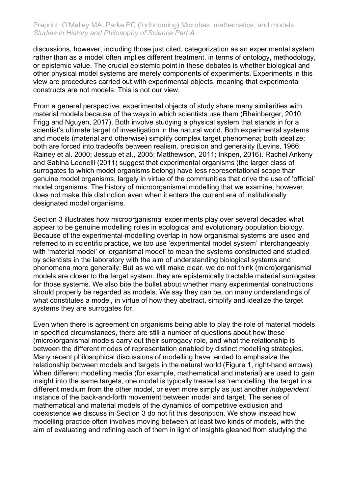discussions, however, including those just cited, categorization as an experimental system rather than as a model often implies different treatment, in terms of ontology, methodology, or epistemic value. The crucial epistemic point in these debates is whether biological and other physical model systems are merely components of experiments. Experiments in this view are procedures carried out with experimental objects, meaning that experimental constructs are not models. This is not our view.

From a general perspective, experimental objects of study share many similarities with material models because of the ways in which scientists use them (Rheinberger, 2010; Frigg and Nguyen, 2017). Both involve studying a physical system that stands in for a scientist's ultimate target of investigation in the natural world. Both experimental systems and models (material and otherwise) simplify complex target phenomena; both idealize; both are forced into tradeoffs between realism, precision and generality (Levins, 1966; Rainey et al. 2000; Jessup et al., 2005; Matthewson, 2011; Inkpen, 2016). Rachel Ankeny and Sabina Leonelli (2011) suggest that experimental organisms (the larger class of surrogates to which model organisms belong) have less representational scope than genuine model organisms, largely in virtue of the communities that drive the use of 'official' model organisms. The history of microorganismal modelling that we examine, however, does not make this distinction even when it enters the current era of institutionally designated model organisms.

Section 3 illustrates how microorganismal experiments play over several decades what appear to be genuine modelling roles in ecological and evolutionary population biology. Because of the experimental-modelling overlap in how organismal systems are used and referred to in scientific practice, we too use 'experimental model system' interchangeably with 'material model' or 'organismal model' to mean the systems constructed and studied by scientists in the laboratory with the aim of understanding biological systems and phenomena more generally. But as we will make clear, we do not think (micro)organismal models are closer to the target system: they are epistemically tractable material surrogates for those systems. We also bite the bullet about whether many experimental constructions should properly be regarded as models. We say they can be, on many understandings of what constitutes a model, in virtue of how they abstract, simplify and idealize the target systems they are surrogates for.

Even when there is agreement on organisms being able to play the role of material models in specified circumstances, there are still a number of questions about how these (micro)organismal models carry out their surrogacy role, and what the relationship is between the different modes of representation enabled by distinct modelling strategies. Many recent philosophical discussions of modelling have tended to emphasize the relationship between models and targets in the natural world (Figure 1, right-hand arrows). When different modelling media (for example, mathematical and material) are used to gain insight into the same targets, one model is typically treated as 'remodelling' the target in a different medium from the other model, or even more simply as just another *independent* instance of the back-and-forth movement between model and target. The series of mathematical and material models of the dynamics of competitive exclusion and coexistence we discuss in Section 3 do not fit this description. We show instead how modelling practice often involves moving between at least two kinds of models, with the aim of evaluating and refining each of them in light of insights gleaned from studying the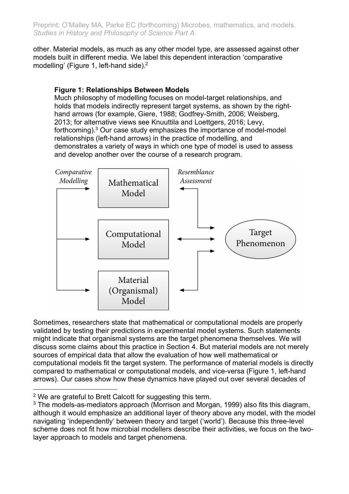other. Material models, as much as any other model type, are assessed against other models built in different media. We label this dependent interaction 'comparative modelling' (Figure 1, left-hand side).<sup>2</sup>

# **Figure 1: Relationships Between Models**

Much philosophy of modelling focuses on model-target relationships, and holds that models indirectly represent target systems, as shown by the righthand arrows (for example, Giere, 1988; Godfrey-Smith, 2006; Weisberg, 2013; for alternative views see Knuuttila and Loettgers, 2016; Levy, forthcoming).3 Our case study emphasizes the importance of model-model relationships (left-hand arrows) in the practice of modelling, and demonstrates a variety of ways in which one type of model is used to assess and develop another over the course of a research program.



Sometimes, researchers state that mathematical or computational models are properly validated by testing their predictions in experimental model systems. Such statements might indicate that organismal systems are the target phenomena themselves. We will discuss some claims about this practice in Section 4. But material models are not merely sources of empirical data that allow the evaluation of how well mathematical or computational models fit the target system. The performance of material models is directly compared to mathematical or computational models, and vice-versa (Figure 1, left-hand arrows). Our cases show how these dynamics have played out over several decades of

<sup>&</sup>lt;sup>2</sup> We are grateful to Brett Calcott for suggesting this term.

 $3$  The models-as-mediators approach (Morrison and Morgan, 1999) also fits this diagram, although it would emphasize an additional layer of theory above any model, with the model navigating 'independently' between theory and target ('world'). Because this three-level scheme does not fit how microbial modellers describe their activities, we focus on the twolayer approach to models and target phenomena.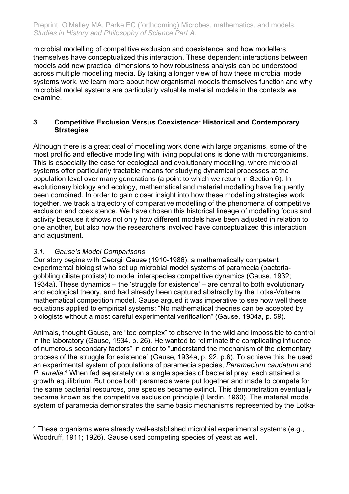microbial modelling of competitive exclusion and coexistence, and how modellers themselves have conceptualized this interaction. These dependent interactions between models add new practical dimensions to how robustness analysis can be understood across multiple modelling media. By taking a longer view of how these microbial model systems work, we learn more about how organismal models themselves function and why microbial model systems are particularly valuable material models in the contexts we examine.

### **3. Competitive Exclusion Versus Coexistence: Historical and Contemporary Strategies**

Although there is a great deal of modelling work done with large organisms, some of the most prolific and effective modelling with living populations is done with microorganisms. This is especially the case for ecological and evolutionary modelling, where microbial systems offer particularly tractable means for studying dynamical processes at the population level over many generations (a point to which we return in Section 6). In evolutionary biology and ecology, mathematical and material modelling have frequently been combined. In order to gain closer insight into how these modelling strategies work together, we track a trajectory of comparative modelling of the phenomena of competitive exclusion and coexistence. We have chosen this historical lineage of modelling focus and activity because it shows not only how different models have been adjusted in relation to one another, but also how the researchers involved have conceptualized this interaction and adjustment.

# *3.1. Gause's Model Comparisons*

Our story begins with Georgii Gause (1910-1986), a mathematically competent experimental biologist who set up microbial model systems of paramecia (bacteriagobbling ciliate protists) to model interspecies competitive dynamics (Gause, 1932; 1934a). These dynamics – the 'struggle for existence' – are central to both evolutionary and ecological theory, and had already been captured abstractly by the Lotka-Volterra mathematical competition model. Gause argued it was imperative to see how well these equations applied to empirical systems: "No mathematical theories can be accepted by biologists without a most careful experimental verification" (Gause, 1934a, p. 59).

Animals, thought Gause, are "too complex" to observe in the wild and impossible to control in the laboratory (Gause, 1934, p. 26). He wanted to "eliminate the complicating influence of numerous secondary factors" in order to "understand the mechanism of the elementary process of the struggle for existence" (Gause, 1934a, p. 92, p.6). To achieve this, he used an experimental system of populations of paramecia species, *Paramecium caudatum* and *P. aurelia*. <sup>4</sup> When fed separately on a single species of bacterial prey, each attained a growth equilibrium. But once both paramecia were put together and made to compete for the same bacterial resources, one species became extinct. This demonstration eventually became known as the competitive exclusion principle (Hardin, 1960). The material model system of paramecia demonstrates the same basic mechanisms represented by the Lotka-

<sup>&</sup>lt;sup>4</sup> These organisms were already well-established microbial experimental systems (e.g., Woodruff, 1911; 1926). Gause used competing species of yeast as well.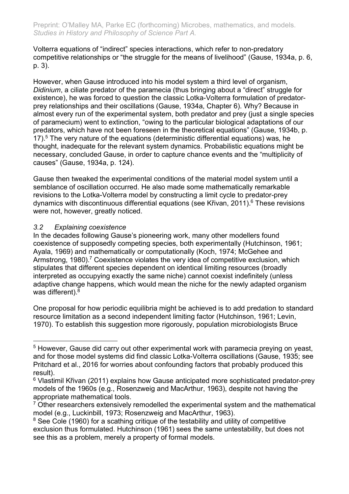Volterra equations of "indirect" species interactions, which refer to non-predatory competitive relationships or "the struggle for the means of livelihood" (Gause, 1934a, p. 6, p. 3).

However, when Gause introduced into his model system a third level of organism, *Didinium*, a ciliate predator of the paramecia (thus bringing about a "direct" struggle for existence), he was forced to question the classic Lotka-Volterra formulation of predatorprey relationships and their oscillations (Gause, 1934a, Chapter 6). Why? Because in almost every run of the experimental system, both predator and prey (just a single species of paramecium) went to extinction, "owing to the particular biological adaptations of our predators, which have not been foreseen in the theoretical equations" (Gause, 1934b, p. 17).<sup>5</sup> The very nature of the equations (deterministic differential equations) was, he thought, inadequate for the relevant system dynamics. Probabilistic equations might be necessary, concluded Gause, in order to capture chance events and the "multiplicity of causes" (Gause, 1934a, p. 124).

Gause then tweaked the experimental conditions of the material model system until a semblance of oscillation occurred. He also made some mathematically remarkable revisions to the Lotka-Volterra model by constructing a limit cycle to predator-prey dynamics with discontinuous differential equations (see Křivan, 2011).<sup>6</sup> These revisions were not, however, greatly noticed.

# *3.2 Explaining coexistence*

In the decades following Gause's pioneering work, many other modellers found coexistence of supposedly competing species, both experimentally (Hutchinson, 1961; Ayala, 1969) and mathematically or computationally (Koch, 1974; McGehee and Armstrong, 1980).<sup>7</sup> Coexistence violates the very idea of competitive exclusion, which stipulates that different species dependent on identical limiting resources (broadly interpreted as occupying exactly the same niche) cannot coexist indefinitely (unless adaptive change happens, which would mean the niche for the newly adapted organism was different). $8$ 

One proposal for how periodic equilibria might be achieved is to add predation to standard resource limitation as a second independent limiting factor (Hutchinson, 1961; Levin, 1970). To establish this suggestion more rigorously, population microbiologists Bruce

<sup>&</sup>lt;sup>5</sup> However, Gause did carry out other experimental work with paramecia preying on yeast, and for those model systems did find classic Lotka-Volterra oscillations (Gause, 1935; see Pritchard et al., 2016 for worries about confounding factors that probably produced this result).

<sup>&</sup>lt;sup>6</sup> Vlastimil Křivan (2011) explains how Gause anticipated more sophisticated predator-prey models of the 1960s (e.g., Rosenzweig and MacArthur, 1963), despite not having the appropriate mathematical tools.

<sup>&</sup>lt;sup>7</sup> Other researchers extensively remodelled the experimental system and the mathematical model (e.g., Luckinbill, 1973; Rosenzweig and MacArthur, 1963).

<sup>&</sup>lt;sup>8</sup> See Cole (1960) for a scathing critique of the testability and utility of competitive exclusion thus formulated. Hutchinson (1961) sees the same untestability, but does not see this as a problem, merely a property of formal models.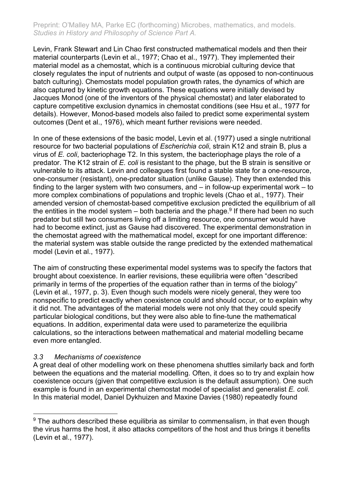Levin, Frank Stewart and Lin Chao first constructed mathematical models and then their material counterparts (Levin et al., 1977; Chao et al., 1977). They implemented their material model as a chemostat, which is a continuous microbial culturing device that closely regulates the input of nutrients and output of waste (as opposed to non-continuous batch culturing). Chemostats model population growth rates, the dynamics of which are also captured by kinetic growth equations. These equations were initially devised by Jacques Monod (one of the inventors of the physical chemostat) and later elaborated to capture competitive exclusion dynamics in chemostat conditions (see Hsu et al., 1977 for details). However, Monod-based models also failed to predict some experimental system outcomes (Dent et al., 1976), which meant further revisions were needed.

In one of these extensions of the basic model, Levin et al. (1977) used a single nutritional resource for two bacterial populations of *Escherichia coli*, strain K12 and strain B, plus a virus of *E. coli*, bacteriophage T2. In this system, the bacteriophage plays the role of a predator. The K12 strain of *E. coli* is resistant to the phage, but the B strain is sensitive or vulnerable to its attack. Levin and colleagues first found a stable state for a one-resource, one-consumer (resistant), one-predator situation (unlike Gause). They then extended this finding to the larger system with two consumers, and – in follow-up experimental work – to more complex combinations of populations and trophic levels (Chao et al., 1977). Their amended version of chemostat-based competitive exclusion predicted the equilibrium of all the entities in the model system – both bacteria and the phage.<sup>9</sup> If there had been no such predator but still two consumers living off a limiting resource, one consumer would have had to become extinct, just as Gause had discovered. The experimental demonstration in the chemostat agreed with the mathematical model, except for one important difference: the material system was stable outside the range predicted by the extended mathematical model (Levin et al., 1977).

The aim of constructing these experimental model systems was to specify the factors that brought about coexistence. In earlier revisions, these equilibria were often "described primarily in terms of the properties of the equation rather than in terms of the biology" (Levin et al., 1977, p. 3). Even though such models were nicely general, they were too nonspecific to predict exactly when coexistence could and should occur, or to explain why it did not. The advantages of the material models were not only that they could specify particular biological conditions, but they were also able to fine-tune the mathematical equations. In addition, experimental data were used to parameterize the equilibria calculations, so the interactions between mathematical and material modelling became even more entangled.

# *3.3 Mechanisms of coexistence*

A great deal of other modelling work on these phenomena shuttles similarly back and forth between the equations and the material modelling. Often, it does so to try and explain how coexistence occurs (given that competitive exclusion is the default assumption). One such example is found in an experimental chemostat model of specialist and generalist *E. coli*. In this material model, Daniel Dykhuizen and Maxine Davies (1980) repeatedly found

 $9$  The authors described these equilibria as similar to commensalism, in that even though the virus harms the host, it also attacks competitors of the host and thus brings it benefits (Levin et al., 1977).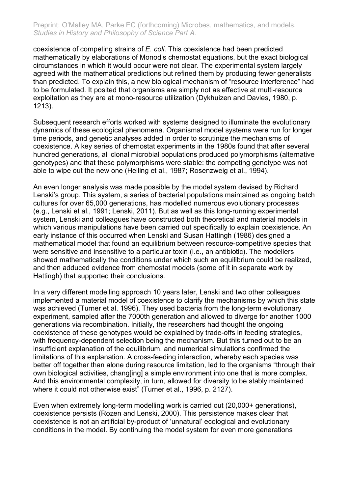coexistence of competing strains of *E. coli*. This coexistence had been predicted mathematically by elaborations of Monod's chemostat equations, but the exact biological circumstances in which it would occur were not clear. The experimental system largely agreed with the mathematical predictions but refined them by producing fewer generalists than predicted. To explain this, a new biological mechanism of "resource interference" had to be formulated. It posited that organisms are simply not as effective at multi-resource exploitation as they are at mono-resource utilization (Dykhuizen and Davies, 1980, p. 1213).

Subsequent research efforts worked with systems designed to illuminate the evolutionary dynamics of these ecological phenomena. Organismal model systems were run for longer time periods, and genetic analyses added in order to scrutinize the mechanisms of coexistence. A key series of chemostat experiments in the 1980s found that after several hundred generations, all clonal microbial populations produced polymorphisms (alternative genotypes) and that these polymorphisms were stable: the competing genotype was not able to wipe out the new one (Helling et al., 1987; Rosenzweig et al., 1994).

An even longer analysis was made possible by the model system devised by Richard Lenski's group. This system, a series of bacterial populations maintained as ongoing batch cultures for over 65,000 generations, has modelled numerous evolutionary processes (e.g., Lenski et al., 1991; Lenski, 2011). But as well as this long-running experimental system, Lenski and colleagues have constructed both theoretical and material models in which various manipulations have been carried out specifically to explain coexistence. An early instance of this occurred when Lenski and Susan Hattingh (1986) designed a mathematical model that found an equilibrium between resource-competitive species that were sensitive and insensitive to a particular toxin (i.e., an antibiotic). The modellers showed mathematically the conditions under which such an equilibrium could be realized, and then adduced evidence from chemostat models (some of it in separate work by Hattingh) that supported their conclusions.

In a very different modelling approach 10 years later, Lenski and two other colleagues implemented a material model of coexistence to clarify the mechanisms by which this state was achieved (Turner et al. 1996). They used bacteria from the long-term evolutionary experiment, sampled after the 7000th generation and allowed to diverge for another 1000 generations via recombination. Initially, the researchers had thought the ongoing coexistence of these genotypes would be explained by trade-offs in feeding strategies, with frequency-dependent selection being the mechanism. But this turned out to be an insufficient explanation of the equilibrium, and numerical simulations confirmed the limitations of this explanation. A cross-feeding interaction, whereby each species was better off together than alone during resource limitation, led to the organisms "through their own biological activities, chang[ing] a simple environment into one that is more complex. And this environmental complexity, in turn, allowed for diversity to be stably maintained where it could not otherwise exist" (Turner et al., 1996, p. 2127).

Even when extremely long-term modelling work is carried out (20,000+ generations), coexistence persists (Rozen and Lenski, 2000). This persistence makes clear that coexistence is not an artificial by-product of 'unnatural' ecological and evolutionary conditions in the model. By continuing the model system for even more generations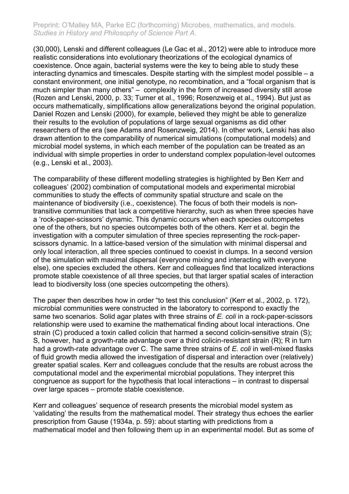(30,000), Lenski and different colleagues (Le Gac et al., 2012) were able to introduce more realistic considerations into evolutionary theorizations of the ecological dynamics of coexistence. Once again, bacterial systems were the key to being able to study these interacting dynamics and timescales. Despite starting with the simplest model possible – a constant environment, one initial genotype, no recombination, and a "focal organism that is much simpler than many others" – complexity in the form of increased diversity still arose (Rozen and Lenski, 2000, p. 33; Turner et al., 1996; Rosenzweig et al., 1994). But just as occurs mathematically, simplifications allow generalizations beyond the original population. Daniel Rozen and Lenski (2000), for example, believed they might be able to generalize their results to the evolution of populations of large sexual organisms as did other researchers of the era (see Adams and Rosenzweig, 2014). In other work, Lenski has also drawn attention to the comparability of numerical simulations (computational models) and microbial model systems, in which each member of the population can be treated as an individual with simple properties in order to understand complex population-level outcomes (e.g., Lenski et al., 2003).

The comparability of these different modelling strategies is highlighted by Ben Kerr and colleagues' (2002) combination of computational models and experimental microbial communities to study the effects of community spatial structure and scale on the maintenance of biodiversity (i.e., coexistence). The focus of both their models is nontransitive communities that lack a competitive hierarchy, such as when three species have a 'rock-paper-scissors' dynamic. This dynamic occurs when each species outcompetes one of the others, but no species outcompetes both of the others. Kerr et al. begin the investigation with a computer simulation of three species representing the rock-paperscissors dynamic. In a lattice-based version of the simulation with minimal dispersal and only local interaction, all three species continued to coexist in clumps. In a second version of the simulation with maximal dispersal (everyone mixing and interacting with everyone else), one species excluded the others. Kerr and colleagues find that localized interactions promote stable coexistence of all three species, but that larger spatial scales of interaction lead to biodiversity loss (one species outcompeting the others).

The paper then describes how in order "to test this conclusion" (Kerr et al., 2002, p. 172), microbial communities were constructed in the laboratory to correspond to exactly the same two scenarios. Solid agar plates with three strains of *E. coli* in a rock-paper-scissors relationship were used to examine the mathematical finding about local interactions. One strain (C) produced a toxin called colicin that harmed a second colicin-sensitive strain (S); S, however, had a growth-rate advantage over a third colicin-resistant strain (R); R in turn had a growth-rate advantage over C. The same three strains of *E. coli* in well-mixed flasks of fluid growth media allowed the investigation of dispersal and interaction over (relatively) greater spatial scales. Kerr and colleagues conclude that the results are robust across the computational model and the experimental microbial populations. They interpret this congruence as support for the hypothesis that local interactions – in contrast to dispersal over large spaces – promote stable coexistence.

Kerr and colleagues' sequence of research presents the microbial model system as 'validating' the results from the mathematical model. Their strategy thus echoes the earlier prescription from Gause (1934a, p. 59): about starting with predictions from a mathematical model and then following them up in an experimental model. But as some of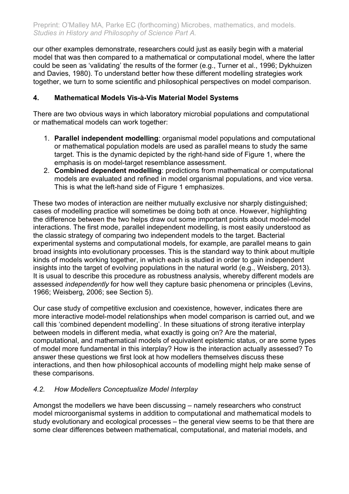our other examples demonstrate, researchers could just as easily begin with a material model that was then compared to a mathematical or computational model, where the latter could be seen as 'validating' the results of the former (e.g., Turner et al., 1996; Dykhuizen and Davies, 1980). To understand better how these different modelling strategies work together, we turn to some scientific and philosophical perspectives on model comparison.

### **4. Mathematical Models Vis-à-Vis Material Model Systems**

There are two obvious ways in which laboratory microbial populations and computational or mathematical models can work together:

- 1. **Parallel independent modelling**: organismal model populations and computational or mathematical population models are used as parallel means to study the same target. This is the dynamic depicted by the right-hand side of Figure 1, where the emphasis is on model-target resemblance assessment.
- 2. **Combined dependent modelling**: predictions from mathematical or computational models are evaluated and refined in model organismal populations, and vice versa. This is what the left-hand side of Figure 1 emphasizes.

These two modes of interaction are neither mutually exclusive nor sharply distinguished; cases of modelling practice will sometimes be doing both at once. However, highlighting the difference between the two helps draw out some important points about model-model interactions. The first mode, parallel independent modelling, is most easily understood as the classic strategy of comparing two independent models to the target. Bacterial experimental systems and computational models, for example, are parallel means to gain broad insights into evolutionary processes. This is the standard way to think about multiple kinds of models working together, in which each is studied in order to gain independent insights into the target of evolving populations in the natural world (e.g., Weisberg, 2013). It is usual to describe this procedure as robustness analysis, whereby different models are assessed *independently* for how well they capture basic phenomena or principles (Levins, 1966; Weisberg, 2006; see Section 5).

Our case study of competitive exclusion and coexistence, however, indicates there are more interactive model-model relationships when model comparison is carried out, and we call this 'combined dependent modelling'. In these situations of strong iterative interplay between models in different media, what exactly is going on? Are the material, computational, and mathematical models of equivalent epistemic status, or are some types of model more fundamental in this interplay? How is the interaction actually assessed? To answer these questions we first look at how modellers themselves discuss these interactions, and then how philosophical accounts of modelling might help make sense of these comparisons.

# *4.2. How Modellers Conceptualize Model Interplay*

Amongst the modellers we have been discussing – namely researchers who construct model microorganismal systems in addition to computational and mathematical models to study evolutionary and ecological processes – the general view seems to be that there are some clear differences between mathematical, computational, and material models, and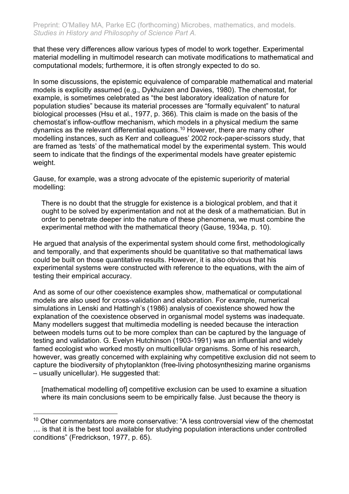that these very differences allow various types of model to work together. Experimental material modelling in multimodel research can motivate modifications to mathematical and computational models; furthermore, it is often strongly expected to do so.

In some discussions, the epistemic equivalence of comparable mathematical and material models is explicitly assumed (e.g., Dykhuizen and Davies, 1980). The chemostat, for example, is sometimes celebrated as "the best laboratory idealization of nature for population studies" because its material processes are "formally equivalent" to natural biological processes (Hsu et al., 1977, p. 366). This claim is made on the basis of the chemostat's inflow-outflow mechanism, which models in a physical medium the same dynamics as the relevant differential equations. <sup>10</sup> However, there are many other modelling instances, such as Kerr and colleagues' 2002 rock-paper-scissors study, that are framed as 'tests' of the mathematical model by the experimental system. This would seem to indicate that the findings of the experimental models have greater epistemic weight.

Gause, for example, was a strong advocate of the epistemic superiority of material modelling:

There is no doubt that the struggle for existence is a biological problem, and that it ought to be solved by experimentation and not at the desk of a mathematician. But in order to penetrate deeper into the nature of these phenomena, we must combine the experimental method with the mathematical theory (Gause, 1934a, p. 10).

He argued that analysis of the experimental system should come first, methodologically and temporally, and that experiments should be quantitative so that mathematical laws could be built on those quantitative results. However, it is also obvious that his experimental systems were constructed with reference to the equations, with the aim of testing their empirical accuracy.

And as some of our other coexistence examples show, mathematical or computational models are also used for cross-validation and elaboration. For example, numerical simulations in Lenski and Hattingh's (1986) analysis of coexistence showed how the explanation of the coexistence observed in organismal model systems was inadequate. Many modellers suggest that multimedia modelling is needed because the interaction between models turns out to be more complex than can be captured by the language of testing and validation. G. Evelyn Hutchinson (1903-1991) was an influential and widely famed ecologist who worked mostly on multicellular organisms. Some of his research, however, was greatly concerned with explaining why competitive exclusion did not seem to capture the biodiversity of phytoplankton (free-living photosynthesizing marine organisms – usually unicellular). He suggested that:

[mathematical modelling of] competitive exclusion can be used to examine a situation where its main conclusions seem to be empirically false. Just because the theory is

<sup>&</sup>lt;sup>10</sup> Other commentators are more conservative: "A less controversial view of the chemostat … is that it is the best tool available for studying population interactions under controlled conditions" (Fredrickson, 1977, p. 65).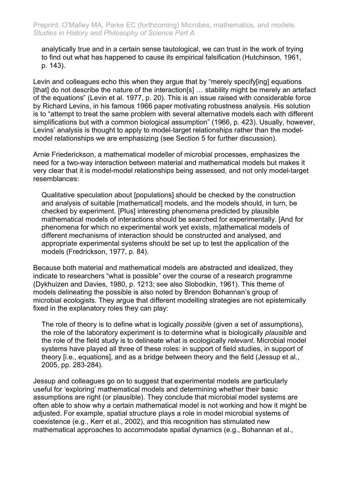analytically true and in a certain sense tautological, we can trust in the work of trying to find out what has happened to cause its empirical falsification (Hutchinson, 1961, p. 143).

Levin and colleagues echo this when they argue that by "merely specify[ing] equations [that] do not describe the nature of the interaction[s] … stability might be merely an artefact of the equations" (Levin et al. 1977, p. 20). This is an issue raised with considerable force by Richard Levins, in his famous 1966 paper motivating robustness analysis. His solution is to "attempt to treat the same problem with several alternative models each with different simplifications but with a common biological assumption" (1966, p. 423). Usually, however, Levins' analysis is thought to apply to model-target relationships rather than the modelmodel relationships we are emphasizing (see Section 5 for further discussion).

Arnie Friederickson, a mathematical modeller of microbial processes, emphasizes the need for a two-way interaction between material and mathematical models but makes it very clear that it is model-model relationships being assessed, and not only model-target resemblances:

Qualitative speculation about [populations] should be checked by the construction and analysis of suitable [mathematical] models, and the models should, in turn, be checked by experiment. [Plus] interesting phenomena predicted by plausible mathematical models of interactions should be searched for experimentally. [And for phenomena for which no experimental work yet exists, m]athematical models of different mechanisms of interaction should be constructed and analysed, and appropriate experimental systems should be set up to test the application of the models (Fredrickson, 1977, p. 84).

Because both material and mathematical models are abstracted and idealized, they indicate to researchers "what is possible" over the course of a research programme (Dykhuizen and Davies, 1980, p. 1213; see also Slobodkin, 1961). This theme of models delineating the possible is also noted by Brendon Bohannan's group of microbial ecologists. They argue that different modelling strategies are not epistemically fixed in the explanatory roles they can play:

The role of theory is to define what is logically *possible* (given a set of assumptions), the role of the laboratory experiment is to determine what is biologically *plausible* and the role of the field study is to delineate what is ecologically *relevant*. Microbial model systems have played all three of these roles: in support of field studies, in support of theory [i.e., equations], and as a bridge between theory and the field (Jessup et al., 2005, pp. 283-284).

Jessup and colleagues go on to suggest that experimental models are particularly useful for 'exploring' mathematical models and determining whether their basic assumptions are right (or plausible). They conclude that microbial model systems are often able to show why a certain mathematical model is not working and how it might be adjusted. For example, spatial structure plays a role in model microbial systems of coexistence (e.g., Kerr et al., 2002), and this recognition has stimulated new mathematical approaches to accommodate spatial dynamics (e.g., Bohannan et al.,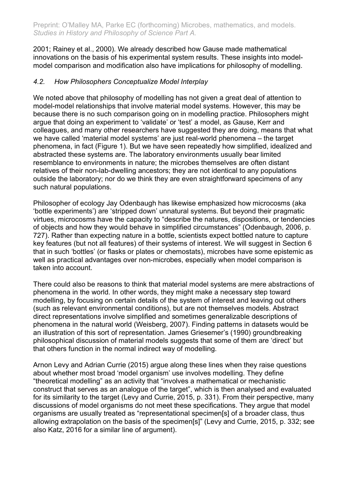2001; Rainey et al., 2000). We already described how Gause made mathematical innovations on the basis of his experimental system results. These insights into modelmodel comparison and modification also have implications for philosophy of modelling.

### *4.2. How Philosophers Conceptualize Model Interplay*

We noted above that philosophy of modelling has not given a great deal of attention to model-model relationships that involve material model systems. However, this may be because there is no such comparison going on in modelling practice. Philosophers might argue that doing an experiment to 'validate' or 'test' a model, as Gause, Kerr and colleagues, and many other researchers have suggested they are doing, means that what we have called 'material model systems' are just real-world phenomena – the target phenomena, in fact (Figure 1). But we have seen repeatedly how simplified, idealized and abstracted these systems are. The laboratory environments usually bear limited resemblance to environments in nature; the microbes themselves are often distant relatives of their non-lab-dwelling ancestors; they are not identical to any populations outside the laboratory; nor do we think they are even straightforward specimens of any such natural populations.

Philosopher of ecology Jay Odenbaugh has likewise emphasized how microcosms (aka 'bottle experiments') are 'stripped down' unnatural systems. But beyond their pragmatic virtues, microcosms have the capacity to "describe the natures, dispositions, or tendencies of objects and how they would behave in simplified circumstances" (Odenbaugh, 2006, p. 727). Rather than expecting nature in a bottle, scientists expect bottled nature to capture key features (but not all features) of their systems of interest. We will suggest in Section 6 that in such 'bottles' (or flasks or plates or chemostats), microbes have some epistemic as well as practical advantages over non-microbes, especially when model comparison is taken into account.

There could also be reasons to think that material model systems are mere abstractions of phenomena in the world. In other words, they might make a necessary step toward modelling, by focusing on certain details of the system of interest and leaving out others (such as relevant environmental conditions), but are not themselves models. Abstract direct representations involve simplified and sometimes generalizable descriptions of phenomena in the natural world (Weisberg, 2007). Finding patterns in datasets would be an illustration of this sort of representation. James Griesemer's (1990) groundbreaking philosophical discussion of material models suggests that some of them are 'direct' but that others function in the normal indirect way of modelling.

Arnon Levy and Adrian Currie (2015) argue along these lines when they raise questions about whether most broad 'model organism' use involves modelling. They define "theoretical modelling" as an activity that "involves a mathematical or mechanistic construct that serves as an analogue of the target", which is then analysed and evaluated for its similarity to the target (Levy and Currie, 2015, p. 331). From their perspective, many discussions of model organisms do not meet these specifications. They argue that model organisms are usually treated as "representational specimen[s] of a broader class, thus allowing extrapolation on the basis of the specimen[s]" (Levy and Currie, 2015, p. 332; see also Katz, 2016 for a similar line of argument).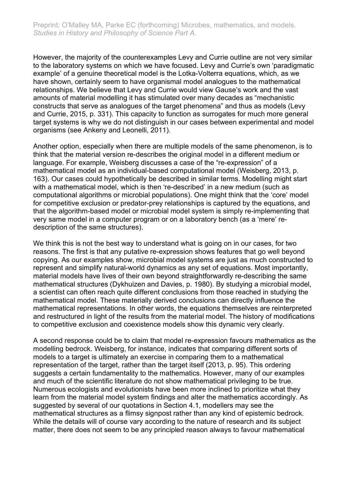However, the majority of the counterexamples Levy and Currie outline are not very similar to the laboratory systems on which we have focused. Levy and Currie's own 'paradigmatic example' of a genuine theoretical model is the Lotka-Volterra equations, which, as we have shown, certainly seem to have organismal model analogues to the mathematical relationships. We believe that Levy and Currie would view Gause's work and the vast amounts of material modelling it has stimulated over many decades as "mechanistic constructs that serve as analogues of the target phenomena" and thus as models (Levy and Currie, 2015, p. 331). This capacity to function as surrogates for much more general target systems is why we do not distinguish in our cases between experimental and model organisms (see Ankeny and Leonelli, 2011).

Another option, especially when there are multiple models of the same phenomenon, is to think that the material version re-describes the original model in a different medium or language. For example, Weisberg discusses a case of the "re-expression" of a mathematical model as an individual-based computational model (Weisberg, 2013, p. 163). Our cases could hypothetically be described in similar terms. Modelling might start with a mathematical model, which is then 're-described' in a new medium (such as computational algorithms or microbial populations). One might think that the 'core' model for competitive exclusion or predator-prey relationships is captured by the equations, and that the algorithm-based model or microbial model system is simply re-implementing that very same model in a computer program or on a laboratory bench (as a 'mere' redescription of the same structures).

We think this is not the best way to understand what is going on in our cases, for two reasons. The first is that any putative re-expression shows features that go well beyond copying. As our examples show, microbial model systems are just as much constructed to represent and simplify natural-world dynamics as any set of equations. Most importantly, material models have lives of their own beyond straightforwardly re-describing the same mathematical structures (Dykhuizen and Davies, p. 1980). By studying a microbial model, a scientist can often reach quite different conclusions from those reached in studying the mathematical model. These materially derived conclusions can directly influence the mathematical representations. In other words, the equations themselves are reinterpreted and restructured in light of the results from the material model. The history of modifications to competitive exclusion and coexistence models show this dynamic very clearly.

A second response could be to claim that model re-expression favours mathematics as the modelling bedrock. Weisberg, for instance, indicates that comparing different sorts of models to a target is ultimately an exercise in comparing them to a mathematical representation of the target, rather than the target itself (2013, p. 95). This ordering suggests a certain fundamentality to the mathematics. However, many of our examples and much of the scientific literature do not show mathematical privileging to be true. Numerous ecologists and evolutionists have been more inclined to prioritize what they learn from the material model system findings and alter the mathematics accordingly. As suggested by several of our quotations in Section 4.1, modellers may see the mathematical structures as a flimsy signpost rather than any kind of epistemic bedrock. While the details will of course vary according to the nature of research and its subject matter, there does not seem to be any principled reason always to favour mathematical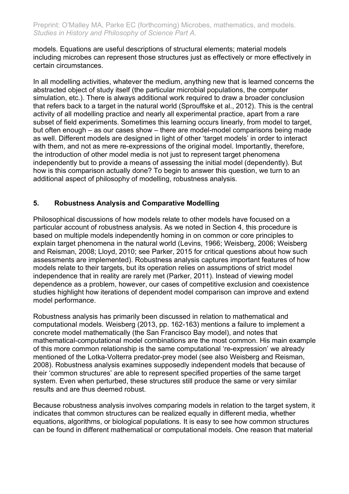models. Equations are useful descriptions of structural elements; material models including microbes can represent those structures just as effectively or more effectively in certain circumstances.

In all modelling activities, whatever the medium, anything new that is learned concerns the abstracted object of study itself (the particular microbial populations, the computer simulation, etc.). There is always additional work required to draw a broader conclusion that refers back to a target in the natural world (Sprouffske et al., 2012). This is the central activity of all modelling practice and nearly all experimental practice, apart from a rare subset of field experiments. Sometimes this learning occurs linearly, from model to target, but often enough – as our cases show – there are model-model comparisons being made as well. Different models are designed in light of other 'target models' in order to interact with them, and not as mere re-expressions of the original model. Importantly, therefore, the introduction of other model media is not just to represent target phenomena independently but to provide a means of assessing the initial model (dependently). But how is this comparison actually done? To begin to answer this question, we turn to an additional aspect of philosophy of modelling, robustness analysis.

# **5. Robustness Analysis and Comparative Modelling**

Philosophical discussions of how models relate to other models have focused on a particular account of robustness analysis. As we noted in Section 4, this procedure is based on multiple models independently homing in on common or core principles to explain target phenomena in the natural world (Levins, 1966; Weisberg, 2006; Weisberg and Reisman, 2008; Lloyd, 2010; see Parker, 2015 for critical questions about how such assessments are implemented). Robustness analysis captures important features of how models relate to their targets, but its operation relies on assumptions of strict model independence that in reality are rarely met (Parker, 2011). Instead of viewing model dependence as a problem, however, our cases of competitive exclusion and coexistence studies highlight how iterations of dependent model comparison can improve and extend model performance.

Robustness analysis has primarily been discussed in relation to mathematical and computational models. Weisberg (2013, pp. 162-163) mentions a failure to implement a concrete model mathematically (the San Francisco Bay model), and notes that mathematical-computational model combinations are the most common. His main example of this more common relationship is the same computational 're-expression' we already mentioned of the Lotka-Volterra predator-prey model (see also Weisberg and Reisman, 2008). Robustness analysis examines supposedly independent models that because of their 'common structures' are able to represent specified properties of the same target system. Even when perturbed, these structures still produce the same or very similar results and are thus deemed robust.

Because robustness analysis involves comparing models in relation to the target system, it indicates that common structures can be realized equally in different media, whether equations, algorithms, or biological populations. It is easy to see how common structures can be found in different mathematical or computational models. One reason that material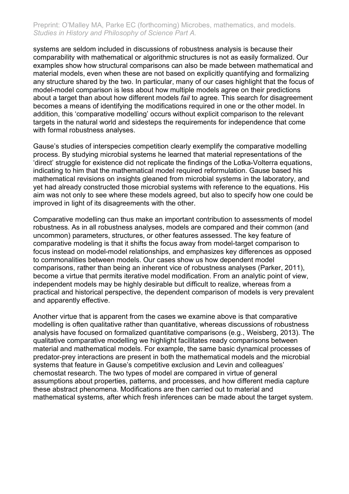systems are seldom included in discussions of robustness analysis is because their comparability with mathematical or algorithmic structures is not as easily formalized. Our examples show how structural comparisons can also be made between mathematical and material models, even when these are not based on explicitly quantifying and formalizing any structure shared by the two. In particular, many of our cases highlight that the focus of model-model comparison is less about how multiple models agree on their predictions about a target than about how different models *fail* to agree. This search for disagreement becomes a means of identifying the modifications required in one or the other model. In addition, this 'comparative modelling' occurs without explicit comparison to the relevant targets in the natural world and sidesteps the requirements for independence that come with formal robustness analyses.

Gause's studies of interspecies competition clearly exemplify the comparative modelling process. By studying microbial systems he learned that material representations of the 'direct' struggle for existence did not replicate the findings of the Lotka-Volterra equations, indicating to him that the mathematical model required reformulation. Gause based his mathematical revisions on insights gleaned from microbial systems in the laboratory, and yet had already constructed those microbial systems with reference to the equations. His aim was not only to see where these models agreed, but also to specify how one could be improved in light of its disagreements with the other.

Comparative modelling can thus make an important contribution to assessments of model robustness. As in all robustness analyses, models are compared and their common (and uncommon) parameters, structures, or other features assessed. The key feature of comparative modeling is that it shifts the focus away from model-target comparison to focus instead on model-model relationships, and emphasizes key differences as opposed to commonalities between models. Our cases show us how dependent model comparisons, rather than being an inherent vice of robustness analyses (Parker, 2011), become a virtue that permits iterative model modification. From an analytic point of view, independent models may be highly desirable but difficult to realize, whereas from a practical and historical perspective, the dependent comparison of models is very prevalent and apparently effective.

Another virtue that is apparent from the cases we examine above is that comparative modelling is often qualitative rather than quantitative, whereas discussions of robustness analysis have focused on formalized quantitative comparisons (e.g., Weisberg, 2013). The qualitative comparative modelling we highlight facilitates ready comparisons between material and mathematical models. For example, the same basic dynamical processes of predator-prey interactions are present in both the mathematical models and the microbial systems that feature in Gause's competitive exclusion and Levin and colleagues' chemostat research. The two types of model are compared in virtue of general assumptions about properties, patterns, and processes, and how different media capture these abstract phenomena. Modifications are then carried out to material and mathematical systems, after which fresh inferences can be made about the target system.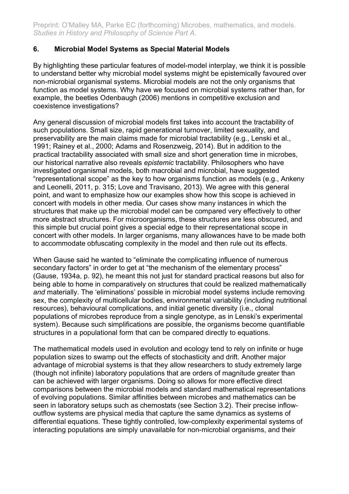# **6. Microbial Model Systems as Special Material Models**

By highlighting these particular features of model-model interplay, we think it is possible to understand better why microbial model systems might be epistemically favoured over non-microbial organismal systems. Microbial models are not the only organisms that function as model systems. Why have we focused on microbial systems rather than, for example, the beetles Odenbaugh (2006) mentions in competitive exclusion and coexistence investigations?

Any general discussion of microbial models first takes into account the tractability of such populations. Small size, rapid generational turnover, limited sexuality, and preservability are the main claims made for microbial tractability (e.g., Lenski et al., 1991; Rainey et al., 2000; Adams and Rosenzweig, 2014). But in addition to the practical tractability associated with small size and short generation time in microbes, our historical narrative also reveals *epistemic* tractability. Philosophers who have investigated organismal models, both macrobial and microbial, have suggested "representational scope" as the key to how organisms function as models (e.g., Ankeny and Leonelli, 2011, p. 315; Love and Travisano, 2013). We agree with this general point, and want to emphasize how our examples show how this scope is achieved in concert with models in other media. Our cases show many instances in which the structures that make up the microbial model can be compared very effectively to other more abstract structures. For microorganisms, these structures are less obscured, and this simple but crucial point gives a special edge to their representational scope in concert with other models. In larger organisms, many allowances have to be made both to accommodate obfuscating complexity in the model and then rule out its effects.

When Gause said he wanted to "eliminate the complicating influence of numerous secondary factors" in order to get at "the mechanism of the elementary process" (Gause, 1934a, p. 92), he meant this not just for standard practical reasons but also for being able to home in comparatively on structures that could be realized mathematically *and* materially. The 'eliminations' possible in microbial model systems include removing sex, the complexity of multicellular bodies, environmental variability (including nutritional resources), behavioural complications, and initial genetic diversity (i.e., clonal populations of microbes reproduce from a single genotype, as in Lenski's experimental system). Because such simplifications are possible, the organisms become quantifiable structures in a populational form that can be compared directly to equations.

The mathematical models used in evolution and ecology tend to rely on infinite or huge population sizes to swamp out the effects of stochasticity and drift. Another major advantage of microbial systems is that they allow researchers to study extremely large (though not infinite) laboratory populations that are orders of magnitude greater than can be achieved with larger organisms. Doing so allows for more effective direct comparisons between the microbial models and standard mathematical representations of evolving populations. Similar affinities between microbes and mathematics can be seen in laboratory setups such as chemostats (see Section 3.2). Their precise inflowoutflow systems are physical media that capture the same dynamics as systems of differential equations. These tightly controlled, low-complexity experimental systems of interacting populations are simply unavailable for non-microbial organisms, and their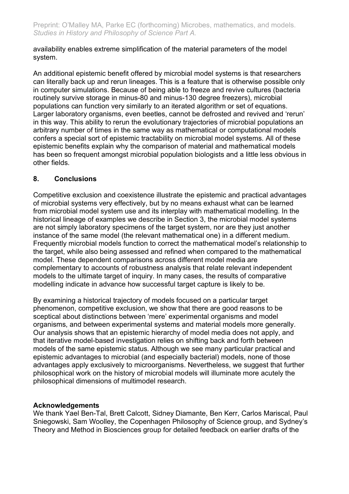availability enables extreme simplification of the material parameters of the model system.

An additional epistemic benefit offered by microbial model systems is that researchers can literally back up and rerun lineages. This is a feature that is otherwise possible only in computer simulations. Because of being able to freeze and revive cultures (bacteria routinely survive storage in minus-80 and minus-130 degree freezers), microbial populations can function very similarly to an iterated algorithm or set of equations. Larger laboratory organisms, even beetles, cannot be defrosted and revived and 'rerun' in this way. This ability to rerun the evolutionary trajectories of microbial populations an arbitrary number of times in the same way as mathematical or computational models confers a special sort of epistemic tractability on microbial model systems. All of these epistemic benefits explain why the comparison of material and mathematical models has been so frequent amongst microbial population biologists and a little less obvious in other fields.

# **8. Conclusions**

Competitive exclusion and coexistence illustrate the epistemic and practical advantages of microbial systems very effectively, but by no means exhaust what can be learned from microbial model system use and its interplay with mathematical modelling. In the historical lineage of examples we describe in Section 3, the microbial model systems are not simply laboratory specimens of the target system, nor are they just another instance of the same model (the relevant mathematical one) in a different medium. Frequently microbial models function to correct the mathematical model's relationship to the target, while also being assessed and refined when compared to the mathematical model. These dependent comparisons across different model media are complementary to accounts of robustness analysis that relate relevant independent models to the ultimate target of inquiry. In many cases, the results of comparative modelling indicate in advance how successful target capture is likely to be.

By examining a historical trajectory of models focused on a particular target phenomenon, competitive exclusion, we show that there are good reasons to be sceptical about distinctions between 'mere' experimental organisms and model organisms, and between experimental systems and material models more generally. Our analysis shows that an epistemic hierarchy of model media does not apply, and that iterative model-based investigation relies on shifting back and forth between models of the same epistemic status. Although we see many particular practical and epistemic advantages to microbial (and especially bacterial) models, none of those advantages apply exclusively to microorganisms. Nevertheless, we suggest that further philosophical work on the history of microbial models will illuminate more acutely the philosophical dimensions of multimodel research.

# **Acknowledgements**

We thank Yael Ben-Tal, Brett Calcott, Sidney Diamante, Ben Kerr, Carlos Mariscal, Paul Sniegowski, Sam Woolley, the Copenhagen Philosophy of Science group, and Sydney's Theory and Method in Biosciences group for detailed feedback on earlier drafts of the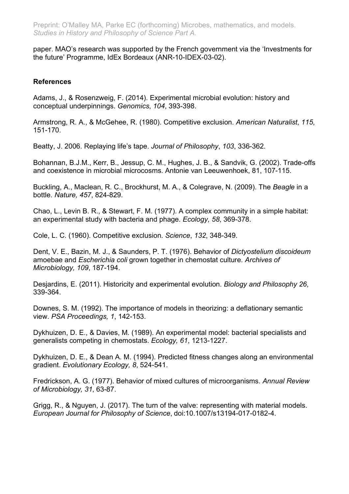paper. MAO's research was supported by the French government via the 'Investments for the future' Programme, IdEx Bordeaux (ANR-10-IDEX-03-02).

### **References**

Adams, J., & Rosenzweig, F. (2014). Experimental microbial evolution: history and conceptual underpinnings. *Genomics*, *104*, 393-398.

Armstrong, R. A., & McGehee, R. (1980). Competitive exclusion. *American Naturalist*, *115*, 151-170.

Beatty, J. 2006. Replaying life's tape. *Journal of Philosophy*, *103*, 336-362.

Bohannan, B.J.M., Kerr, B., Jessup, C. M., Hughes, J. B., & Sandvik, G. (2002). Trade-offs and coexistence in microbial microcosms. Antonie van Leeuwenhoek, 81, 107-115.

Buckling, A., Maclean, R. C., Brockhurst, M. A., & Colegrave, N. (2009). The *Beagle* in a bottle. *Nature, 457*, 824-829.

Chao, L., Levin B. R., & Stewart, F. M. (1977). A complex community in a simple habitat: an experimental study with bacteria and phage. *Ecology, 58*, 369-378.

Cole, L. C. (1960). Competitive exclusion. *Science*, *132*, 348-349.

Dent, V. E., Bazin, M. J., & Saunders, P. T. (1976). Behavior of *Dictyostelium discoideum* amoebae and *Escherichia coli* grown together in chemostat culture. *Archives of Microbiology, 109*, 187-194.

Desjardins, E. (2011). Historicity and experimental evolution. *Biology and Philosophy 26*, 339-364.

Downes, S. M. (1992). The importance of models in theorizing: a deflationary semantic view. *PSA Proceedings, 1*, 142-153.

Dykhuizen, D. E., & Davies, M. (1989). An experimental model: bacterial specialists and generalists competing in chemostats. *Ecology, 61*, 1213-1227.

Dykhuizen, D. E., & Dean A. M. (1994). Predicted fitness changes along an environmental gradient. *Evolutionary Ecology, 8*, 524-541.

Fredrickson, A. G. (1977). Behavior of mixed cultures of microorganisms. *Annual Review of Microbiology, 31*, 63-87.

Grigg, R., & Nguyen, J. (2017). The turn of the valve: representing with material models. *European Journal for Philosophy of Science*, doi:10.1007/s13194-017-0182-4.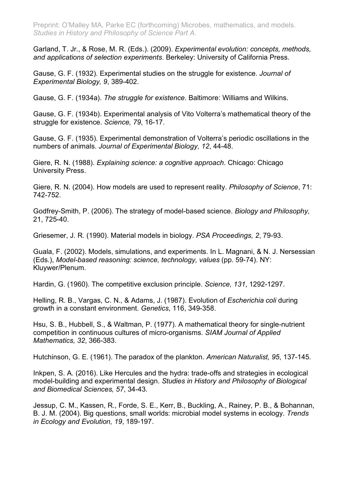Garland, T. Jr., & Rose, M. R. (Eds.). (2009). *Experimental evolution: concepts, methods, and applications of selection experiments*. Berkeley: University of California Press.

Gause, G. F. (1932). Experimental studies on the struggle for existence. *Journal of Experimental Biology, 9*, 389-402.

Gause, G. F. (1934a). *The struggle for existence*. Baltimore: Williams and Wilkins.

Gause, G. F. (1934b). Experimental analysis of Vito Volterra's mathematical theory of the struggle for existence. *Science, 79*, 16-17.

Gause, G. F. (1935). Experimental demonstration of Volterra's periodic oscillations in the numbers of animals. *Journal of Experimental Biology, 12*, 44-48.

Giere, R. N. (1988). *Explaining science: a cognitive approach*. Chicago: Chicago University Press.

Giere, R. N. (2004). How models are used to represent reality. *Philosophy of Science*, 71: 742-752.

Godfrey-Smith, P. (2006). The strategy of model-based science. *Biology and Philosophy,* 21, 725-40.

Griesemer, J. R. (1990). Material models in biology. *PSA Proceedings, 2*, 79-93.

Guala, F. (2002). Models, simulations, and experiments. In L. Magnani, & N. J. Nersessian (Eds.), *Model-based reasoning: science, technology, values* (pp. 59-74). NY: Kluywer/Plenum.

Hardin, G. (1960). The competitive exclusion principle. *Science, 131*, 1292-1297.

Helling, R. B., Vargas, C. N., & Adams, J. (1987). Evolution of *Escherichia coli* during growth in a constant environment. *Genetics*, 116, 349-358.

Hsu, S. B., Hubbell, S., & Waltman, P. (1977). A mathematical theory for single-nutrient competition in continuous cultures of micro-organisms. *SIAM Journal of Applied Mathematics, 32*, 366-383.

Hutchinson, G. E. (1961). The paradox of the plankton. *American Naturalist, 95*, 137-145.

Inkpen, S. A. (2016). Like Hercules and the hydra: trade-offs and strategies in ecological model-building and experimental design. *Studies in History and Philosophy of Biological and Biomedical Sciences, 57*, 34-43.

Jessup, C. M., Kassen, R., Forde, S. E., Kerr, B., Buckling, A., Rainey, P. B., & Bohannan, B. J. M. (2004). Big questions, small worlds: microbial model systems in ecology. *Trends in Ecology and Evolution, 19*, 189-197.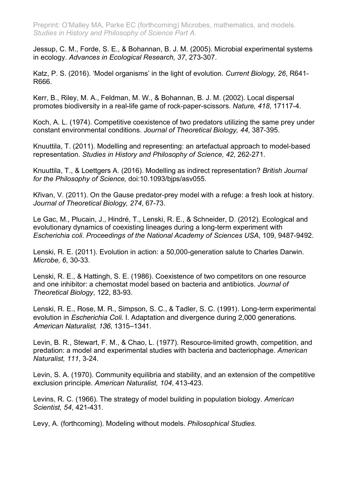Jessup, C. M., Forde, S. E., & Bohannan, B. J. M. (2005). Microbial experimental systems in ecology. *Advances in Ecological Research, 37*, 273-307.

Katz, P. S. (2016). 'Model organisms' in the light of evolution. *Current Biology, 26*, R641- R666.

Kerr, B., Riley, M. A., Feldman, M. W., & Bohannan, B. J. M. (2002). Local dispersal promotes biodiversity in a real-life game of rock-paper-scissors. *Nature, 418*, 17117-4.

Koch, A. L. (1974). Competitive coexistence of two predators utilizing the same prey under constant environmental conditions. *Journal of Theoretical Biology, 44*, 387-395.

Knuuttila, T. (2011). Modelling and representing: an artefactual approach to model-based representation. *Studies in History and Philosophy of Science, 42*, 262-271.

Knuuttila, T., & Loettgers A. (2016). Modelling as indirect representation? *British Journal for the Philosophy of Science,* doi:10.1093/bjps/asv055.

Křivan, V. (2011). On the Gause predator-prey model with a refuge: a fresh look at history. *Journal of Theoretical Biology, 274*, 67-73.

Le Gac, M., Plucain, J., Hindré, T., Lenski, R. E., & Schneider, D. (2012). Ecological and evolutionary dynamics of coexisting lineages during a long-term experiment with *Escherichia coli*. *Proceedings of the National Academy of Sciences USA*, 109, 9487-9492.

Lenski, R. E. (2011). Evolution in action: a 50,000-generation salute to Charles Darwin. *Microbe, 6*, 30-33.

Lenski, R. E., & Hattingh, S. E. (1986). Coexistence of two competitors on one resource and one inhibitor: a chemostat model based on bacteria and antibiotics. *Journal of Theoretical Biology*, 122, 83-93.

Lenski, R. E., Rose, M. R., Simpson, S. C., & Tadler, S. C. (1991). Long-term experimental evolution in *Escherichia Coli*. I. Adaptation and divergence during 2,000 generations. *American Naturalist, 136*, 1315–1341.

Levin, B. R., Stewart, F. M., & Chao, L. (1977). Resource-limited growth, competition, and predation: a model and experimental studies with bacteria and bacteriophage. *American Naturalist, 111*, 3-24.

Levin, S. A. (1970). Community equilibria and stability, and an extension of the competitive exclusion principle. *American Naturalist, 104*, 413-423.

Levins, R. C. (1966). The strategy of model building in population biology. *American Scientist, 54*, 421-431.

Levy, A. (forthcoming). Modeling without models. *Philosophical Studies*.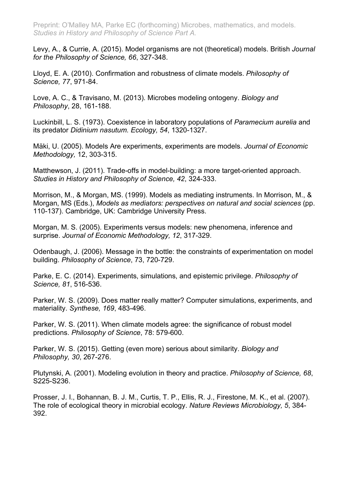Levy, A., & Currie, A. (2015). Model organisms are not (theoretical) models. British *Journal for the Philosophy of Science, 66*, 327-348.

Lloyd, E. A. (2010). Confirmation and robustness of climate models. *Philosophy of Science, 77*, 971-84.

Love, A. C., & Travisano, M. (2013). Microbes modeling ontogeny. *Biology and Philosophy*, 28, 161-188.

Luckinbill, L. S. (1973). Coexistence in laboratory populations of *Paramecium aurelia* and its predator *Didinium nasutum. Ecology, 54*, 1320-1327.

Mäki, U. (2005). Models Are experiments, experiments are models. *Journal of Economic Methodology,* 12, 303-315.

Matthewson, J. (2011). Trade-offs in model-building: a more target-oriented approach. *Studies in History and Philosophy of Science, 42*, 324-333.

Morrison, M., & Morgan, MS. (1999). Models as mediating instruments. In Morrison, M., & Morgan, MS (Eds.), *Models as mediators: perspectives on natural and social sciences* (pp. 110-137). Cambridge, UK: Cambridge University Press.

Morgan, M. S. (2005). Experiments versus models: new phenomena, inference and surprise. *Journal of Economic Methodology, 12*, 317-329.

Odenbaugh, J. (2006). Message in the bottle: the constraints of experimentation on model building. *Philosophy of Science*, 73, 720-729.

Parke, E. C. (2014). Experiments, simulations, and epistemic privilege. *Philosophy of Science, 81*, 516-536.

Parker, W. S. (2009). Does matter really matter? Computer simulations, experiments, and materiality. *Synthese, 169*, 483-496.

Parker, W. S. (2011). When climate models agree: the significance of robust model predictions. *Philosophy of Science*, 78: 579-600.

Parker, W. S. (2015). Getting (even more) serious about similarity. *Biology and Philosophy, 30*, 267-276.

Plutynski, A. (2001). Modeling evolution in theory and practice. *Philosophy of Science, 68*, S225-S236.

Prosser, J. I., Bohannan, B. J. M., Curtis, T. P., Ellis, R. J., Firestone, M. K., et al. (2007). The role of ecological theory in microbial ecology. *Nature Reviews Microbiology, 5*, 384- 392.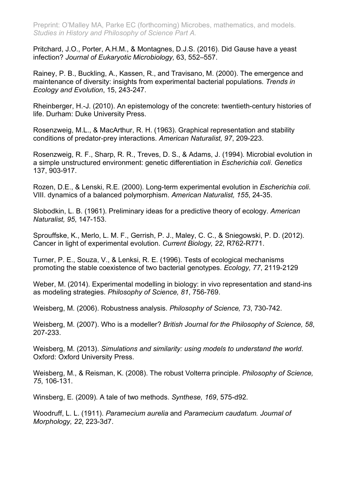Pritchard, J.O., Porter, A.H.M., & Montagnes, D.J.S. (2016). Did Gause have a yeast infection? *Journal of Eukaryotic Microbiology,* 63, 552–557.

Rainey, P. B., Buckling, A., Kassen, R., and Travisano, M. (2000). The emergence and maintenance of diversity: insights from experimental bacterial populations. *Trends in Ecology and Evolution*, 15, 243-247.

Rheinberger, H.-J. (2010). An epistemology of the concrete: twentieth-century histories of life. Durham: Duke University Press.

Rosenzweig, M.L., & MacArthur, R. H. (1963). Graphical representation and stability conditions of predator-prey interactions. *American Naturalist, 97*, 209-223.

Rosenzweig, R. F., Sharp, R. R., Treves, D. S., & Adams, J. (1994). Microbial evolution in a simple unstructured environment: genetic differentiation in *Escherichia coli*. *Genetics* 137, 903-917.

Rozen, D.E., & Lenski, R.E. (2000). Long-term experimental evolution in *Escherichia coli*. VIII. dynamics of a balanced polymorphism. *American Naturalist, 155*, 24-35.

Slobodkin, L. B. (1961). Preliminary ideas for a predictive theory of ecology. *American Naturalist, 95*, 147-153.

Sprouffske, K., Merlo, L. M. F., Gerrish, P. J., Maley, C. C., & Sniegowski, P. D. (2012). Cancer in light of experimental evolution. *Current Biology, 22*, R762-R771.

Turner, P. E., Souza, V., & Lenksi, R. E. (1996). Tests of ecological mechanisms promoting the stable coexistence of two bacterial genotypes. *Ecology, 77*, 2119-2129

Weber, M. (2014). Experimental modelling in biology: in vivo representation and stand-ins as modeling strategies. *Philosophy of Science, 81*, 756-769.

Weisberg, M. (2006). Robustness analysis. *Philosophy of Science, 73*, 730-742.

Weisberg, M. (2007). Who is a modeller? *British Journal for the Philosophy of Science, 58*, 207-233.

Weisberg, M. (2013). *Simulations and similarity: using models to understand the world*. Oxford: Oxford University Press.

Weisberg, M., & Reisman, K. (2008). The robust Volterra principle. *Philosophy of Science, 75*, 106-131.

Winsberg, E. (2009). A tale of two methods. *Synthese, 169*, 575-d92.

Woodruff, L. L. (1911). *Paramecium aurelia* and *Paramecium caudatum. Journal of Morphology, 22*, 223-3d7.